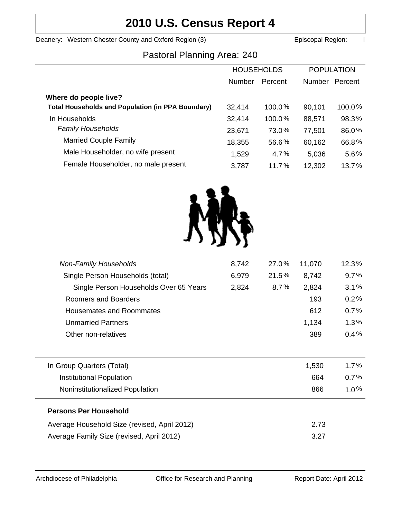# **2010 U.S. Census Report 4**

Deanery: Western Chester County and Oxford Region (3) **Example 20 Exercise 20 Exercise 20** Episcopal Region: I

## Pastoral Planning Area: 240

|                                                          | <b>HOUSEHOLDS</b> |         | <b>POPULATION</b> |         |
|----------------------------------------------------------|-------------------|---------|-------------------|---------|
|                                                          | Number            | Percent | <b>Number</b>     | Percent |
| Where do people live?                                    |                   |         |                   |         |
| <b>Total Households and Population (in PPA Boundary)</b> | 32,414            | 100.0%  | 90,101            | 100.0%  |
| In Households                                            | 32,414            | 100.0%  | 88,571            | 98.3%   |
| <b>Family Households</b>                                 | 23,671            | 73.0%   | 77,501            | 86.0%   |
| <b>Married Couple Family</b>                             | 18,355            | 56.6%   | 60,162            | 66.8%   |
| Male Householder, no wife present                        | 1,529             | 4.7%    | 5,036             | 5.6%    |
| Female Householder, no male present                      | 3,787             | 11.7%   | 12,302            | 13.7%   |



| <b>Non-Family Households</b>                 | 8,742 | 27.0% | 11,070 | 12.3%   |
|----------------------------------------------|-------|-------|--------|---------|
| Single Person Households (total)             | 6,979 | 21.5% | 8,742  | 9.7%    |
| Single Person Households Over 65 Years       | 2,824 | 8.7%  | 2,824  | 3.1%    |
| Roomers and Boarders                         |       |       | 193    | 0.2%    |
| <b>Housemates and Roommates</b>              |       |       | 612    | 0.7%    |
| <b>Unmarried Partners</b>                    |       |       | 1,134  | 1.3%    |
| Other non-relatives                          |       |       | 389    | 0.4%    |
|                                              |       |       |        |         |
| In Group Quarters (Total)                    |       |       | 1,530  | $1.7\%$ |
| <b>Institutional Population</b>              |       |       | 664    | 0.7%    |
| Noninstitutionalized Population              |       |       | 866    | $1.0\%$ |
| <b>Persons Per Household</b>                 |       |       |        |         |
| Average Household Size (revised, April 2012) |       |       | 2.73   |         |
| Average Family Size (revised, April 2012)    |       |       | 3.27   |         |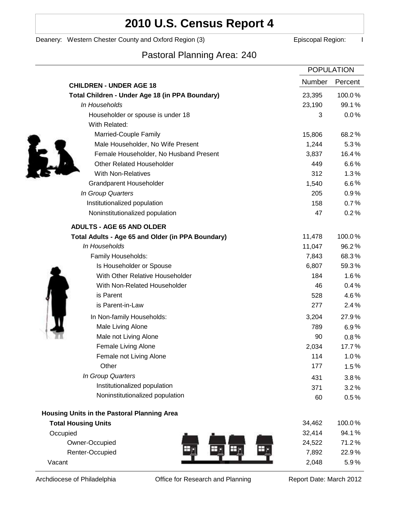# **2010 U.S. Census Report 4**

### Deanery: Western Chester County and Oxford Region (3) **Example 2** Episcopal Region: I

## Pastoral Planning Area: 240

|                                                   | <b>POPULATION</b> |         |
|---------------------------------------------------|-------------------|---------|
| <b>CHILDREN - UNDER AGE 18</b>                    | <b>Number</b>     | Percent |
| Total Children - Under Age 18 (in PPA Boundary)   | 23,395            | 100.0%  |
| In Households                                     | 23,190            | 99.1%   |
| Householder or spouse is under 18                 | 3                 | 0.0%    |
| With Related:                                     |                   |         |
| Married-Couple Family                             | 15,806            | 68.2%   |
| Male Householder, No Wife Present                 | 1,244             | 5.3%    |
| Female Householder, No Husband Present            | 3,837             | 16.4%   |
| <b>Other Related Householder</b>                  | 449               | 6.6%    |
| <b>With Non-Relatives</b>                         | 312               | 1.3%    |
| <b>Grandparent Householder</b>                    | 1,540             | $6.6\%$ |
| In Group Quarters                                 | 205               | 0.9%    |
| Institutionalized population                      | 158               | 0.7%    |
| Noninstitutionalized population                   | 47                | 0.2%    |
| <b>ADULTS - AGE 65 AND OLDER</b>                  |                   |         |
| Total Adults - Age 65 and Older (in PPA Boundary) | 11,478            | 100.0%  |
| In Households                                     | 11,047            | 96.2%   |
| Family Households:                                | 7,843             | 68.3%   |
| Is Householder or Spouse                          | 6,807             | 59.3%   |
| With Other Relative Householder                   | 184               | 1.6%    |
| With Non-Related Householder                      | 46                | 0.4%    |
| is Parent                                         | 528               | 4.6%    |
| is Parent-in-Law                                  | 277               | 2.4%    |
| In Non-family Households:                         | 3,204             | 27.9%   |
| Male Living Alone                                 | 789               | $6.9\%$ |
| Male not Living Alone                             | 90                | $0.8\%$ |
| Female Living Alone                               | 2,034             | 17.7%   |
| Female not Living Alone                           | 114               | 1.0%    |
| Other                                             | 177               | 1.5%    |
| In Group Quarters                                 | 431               | 3.8%    |
| Institutionalized population                      | 371               | 3.2%    |
| Noninstitutionalized population                   | 60                | 0.5%    |
| Housing Units in the Pastoral Planning Area       |                   |         |
| <b>Total Housing Units</b>                        | 34,462            | 100.0%  |
| Occupied                                          | 32,414            | 94.1%   |
| Owner-Occupied                                    | 24,522            | 71.2%   |
| Renter-Occupied                                   | 7,892             | 22.9%   |
| Vacant                                            | 2,048             | 5.9%    |

Archdiocese of Philadelphia **Office for Research and Planning** Report Date: March 2012